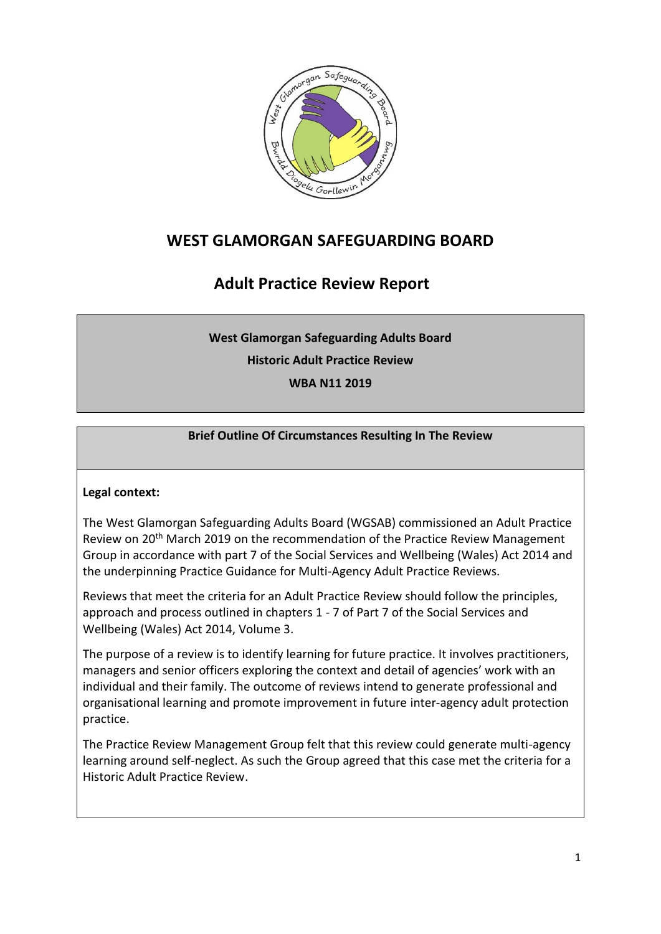

# **WEST GLAMORGAN SAFEGUARDING BOARD**

# **Adult Practice Review Report**

**West Glamorgan Safeguarding Adults Board**

**Historic Adult Practice Review**

**WBA N11 2019**

## **Brief Outline Of Circumstances Resulting In The Review**

## **Legal context:**

The West Glamorgan Safeguarding Adults Board (WGSAB) commissioned an Adult Practice Review on 20<sup>th</sup> March 2019 on the recommendation of the Practice Review Management Group in accordance with part 7 of the Social Services and Wellbeing (Wales) Act 2014 and the underpinning Practice Guidance for Multi-Agency Adult Practice Reviews.

Reviews that meet the criteria for an Adult Practice Review should follow the principles, approach and process outlined in chapters 1 - 7 of Part 7 of the Social Services and Wellbeing (Wales) Act 2014, Volume 3.

The purpose of a review is to identify learning for future practice. It involves practitioners, managers and senior officers exploring the context and detail of agencies' work with an individual and their family. The outcome of reviews intend to generate professional and organisational learning and promote improvement in future inter-agency adult protection practice.

The Practice Review Management Group felt that this review could generate multi-agency learning around self-neglect. As such the Group agreed that this case met the criteria for a Historic Adult Practice Review.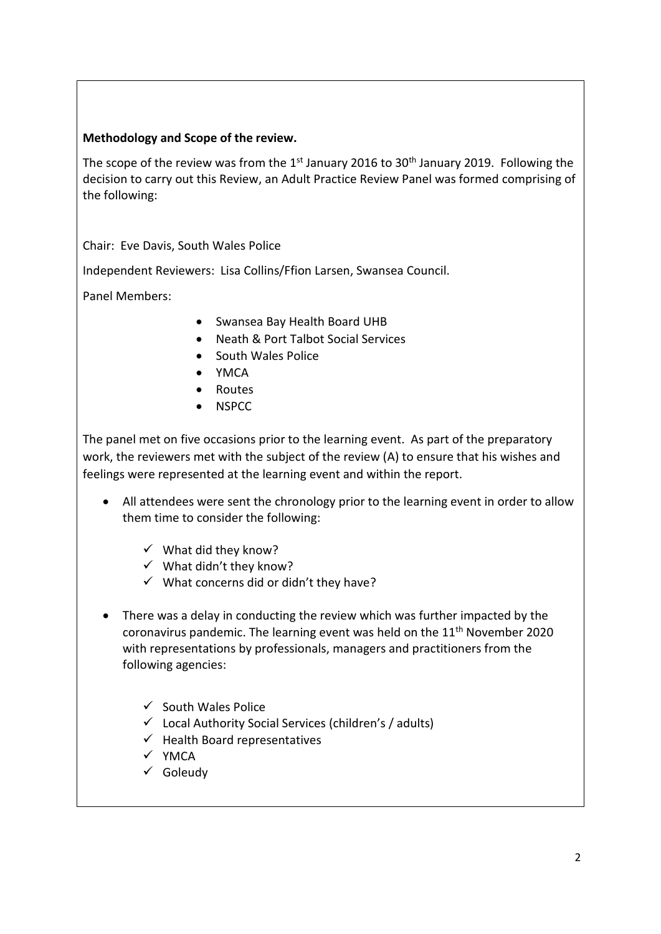#### **Methodology and Scope of the review.**

The scope of the review was from the  $1<sup>st</sup>$  January 2016 to 30<sup>th</sup> January 2019. Following the decision to carry out this Review, an Adult Practice Review Panel was formed comprising of the following:

Chair: Eve Davis, South Wales Police

Independent Reviewers: Lisa Collins/Ffion Larsen, Swansea Council.

Panel Members:

- Swansea Bay Health Board UHB
- Neath & Port Talbot Social Services
- South Wales Police
- YMCA
- Routes
- NSPCC

The panel met on five occasions prior to the learning event. As part of the preparatory work, the reviewers met with the subject of the review (A) to ensure that his wishes and feelings were represented at the learning event and within the report.

- All attendees were sent the chronology prior to the learning event in order to allow them time to consider the following:
	- $\checkmark$  What did they know?
	- $\checkmark$  What didn't they know?
	- $\checkmark$  What concerns did or didn't they have?
- There was a delay in conducting the review which was further impacted by the coronavirus pandemic. The learning event was held on the 11<sup>th</sup> November 2020 with representations by professionals, managers and practitioners from the following agencies:
	- $\checkmark$  South Wales Police
	- $\checkmark$  Local Authority Social Services (children's / adults)
	- $\checkmark$  Health Board representatives
	- $\checkmark$  YMCA
	- $\checkmark$  Goleudy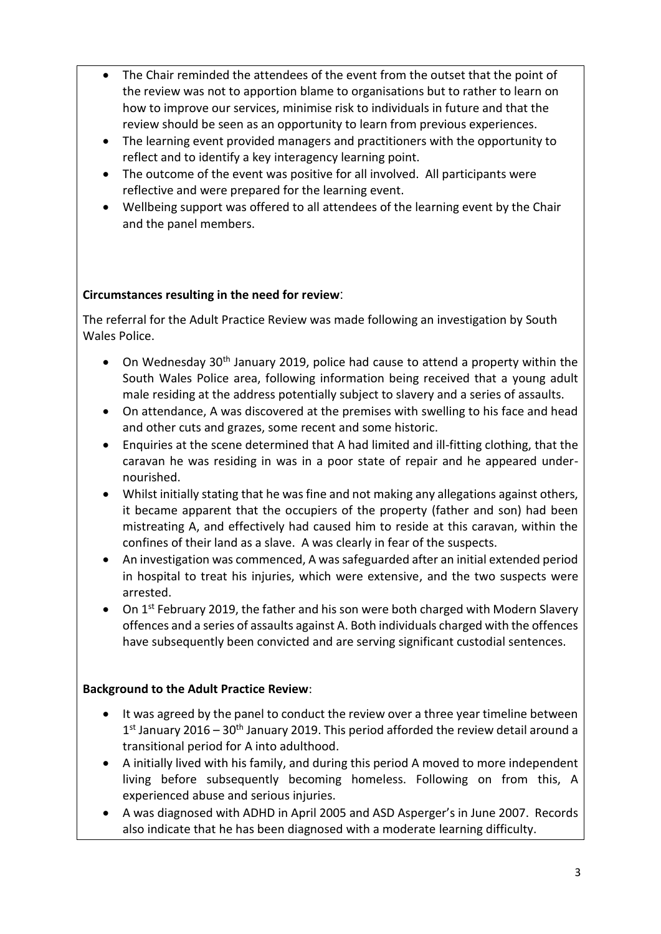- The Chair reminded the attendees of the event from the outset that the point of the review was not to apportion blame to organisations but to rather to learn on how to improve our services, minimise risk to individuals in future and that the review should be seen as an opportunity to learn from previous experiences.
- The learning event provided managers and practitioners with the opportunity to reflect and to identify a key interagency learning point.
- The outcome of the event was positive for all involved. All participants were reflective and were prepared for the learning event.
- Wellbeing support was offered to all attendees of the learning event by the Chair and the panel members.

#### **Circumstances resulting in the need for review**:

The referral for the Adult Practice Review was made following an investigation by South Wales Police.

- On Wednesday 30<sup>th</sup> January 2019, police had cause to attend a property within the South Wales Police area, following information being received that a young adult male residing at the address potentially subject to slavery and a series of assaults.
- On attendance, A was discovered at the premises with swelling to his face and head and other cuts and grazes, some recent and some historic.
- Enquiries at the scene determined that A had limited and ill-fitting clothing, that the caravan he was residing in was in a poor state of repair and he appeared undernourished.
- Whilst initially stating that he was fine and not making any allegations against others, it became apparent that the occupiers of the property (father and son) had been mistreating A, and effectively had caused him to reside at this caravan, within the confines of their land as a slave. A was clearly in fear of the suspects.
- An investigation was commenced, A was safeguarded after an initial extended period in hospital to treat his injuries, which were extensive, and the two suspects were arrested.
- On  $1<sup>st</sup>$  February 2019, the father and his son were both charged with Modern Slavery offences and a series of assaults against A. Both individuals charged with the offences have subsequently been convicted and are serving significant custodial sentences.

#### **Background to the Adult Practice Review**:

- It was agreed by the panel to conduct the review over a three year timeline between 1<sup>st</sup> January 2016 – 30<sup>th</sup> January 2019. This period afforded the review detail around a transitional period for A into adulthood.
- A initially lived with his family, and during this period A moved to more independent living before subsequently becoming homeless. Following on from this, A experienced abuse and serious injuries.
- A was diagnosed with ADHD in April 2005 and ASD Asperger's in June 2007. Records also indicate that he has been diagnosed with a moderate learning difficulty.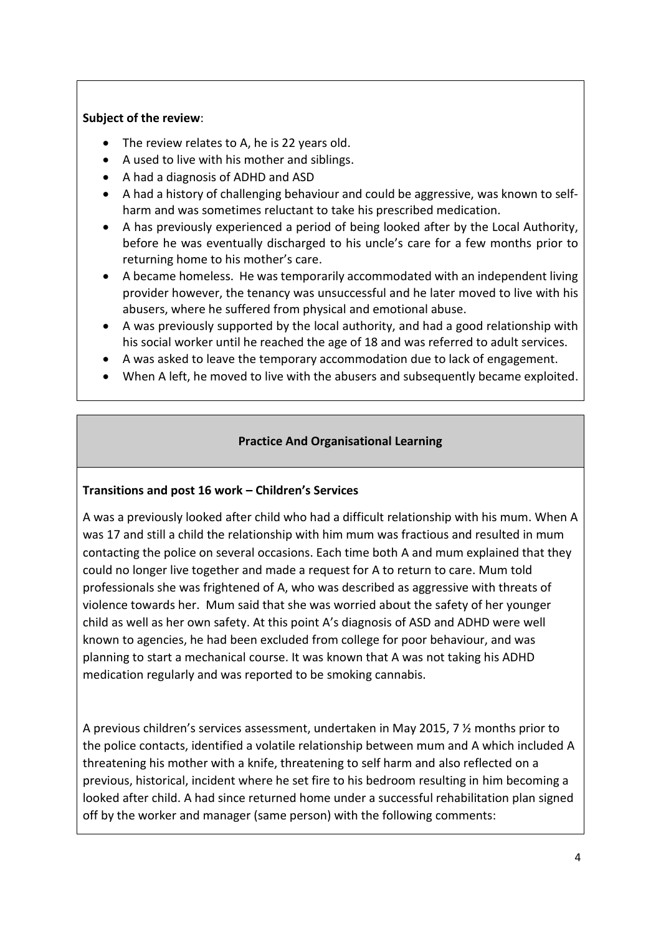#### **Subject of the review**:

- The review relates to A, he is 22 years old.
- A used to live with his mother and siblings.
- A had a diagnosis of ADHD and ASD
- A had a history of challenging behaviour and could be aggressive, was known to selfharm and was sometimes reluctant to take his prescribed medication.
- A has previously experienced a period of being looked after by the Local Authority, before he was eventually discharged to his uncle's care for a few months prior to returning home to his mother's care.
- A became homeless. He was temporarily accommodated with an independent living provider however, the tenancy was unsuccessful and he later moved to live with his abusers, where he suffered from physical and emotional abuse.
- A was previously supported by the local authority, and had a good relationship with his social worker until he reached the age of 18 and was referred to adult services.
- A was asked to leave the temporary accommodation due to lack of engagement.
- When A left, he moved to live with the abusers and subsequently became exploited.

## **Practice And Organisational Learning**

#### **Transitions and post 16 work – Children's Services**

A was a previously looked after child who had a difficult relationship with his mum. When A was 17 and still a child the relationship with him mum was fractious and resulted in mum contacting the police on several occasions. Each time both A and mum explained that they could no longer live together and made a request for A to return to care. Mum told professionals she was frightened of A, who was described as aggressive with threats of violence towards her. Mum said that she was worried about the safety of her younger child as well as her own safety. At this point A's diagnosis of ASD and ADHD were well known to agencies, he had been excluded from college for poor behaviour, and was planning to start a mechanical course. It was known that A was not taking his ADHD medication regularly and was reported to be smoking cannabis.

A previous children's services assessment, undertaken in May 2015, 7 ½ months prior to the police contacts, identified a volatile relationship between mum and A which included A threatening his mother with a knife, threatening to self harm and also reflected on a previous, historical, incident where he set fire to his bedroom resulting in him becoming a looked after child. A had since returned home under a successful rehabilitation plan signed off by the worker and manager (same person) with the following comments: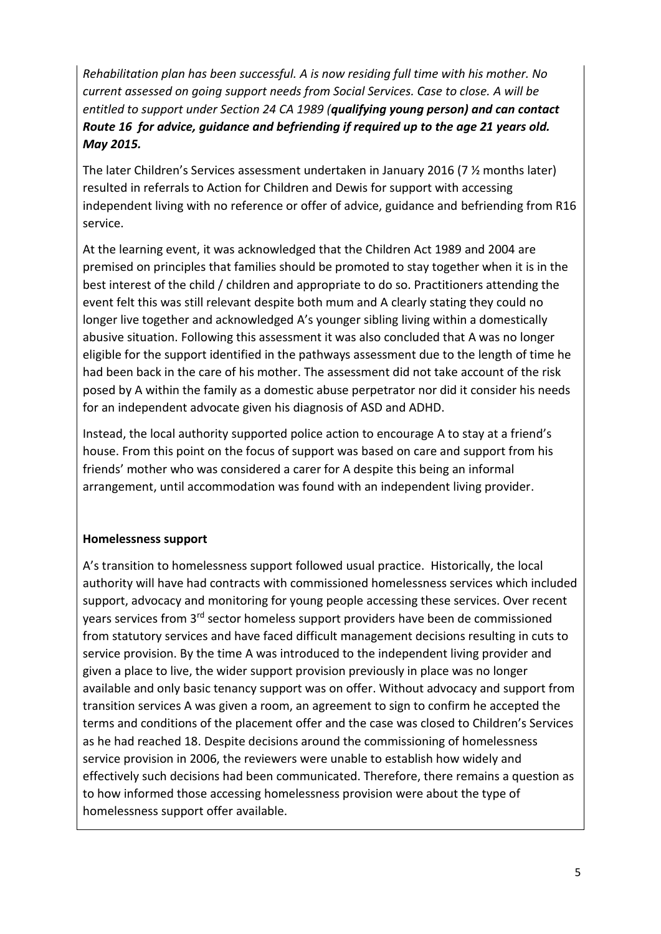*Rehabilitation plan has been successful. A is now residing full time with his mother. No current assessed on going support needs from Social Services. Case to close. A will be entitled to support under Section 24 CA 1989 (qualifying young person) and can contact Route 16 for advice, guidance and befriending if required up to the age 21 years old. May 2015.*

The later Children's Services assessment undertaken in January 2016 (7 ½ months later) resulted in referrals to Action for Children and Dewis for support with accessing independent living with no reference or offer of advice, guidance and befriending from R16 service.

At the learning event, it was acknowledged that the Children Act 1989 and 2004 are premised on principles that families should be promoted to stay together when it is in the best interest of the child / children and appropriate to do so. Practitioners attending the event felt this was still relevant despite both mum and A clearly stating they could no longer live together and acknowledged A's younger sibling living within a domestically abusive situation. Following this assessment it was also concluded that A was no longer eligible for the support identified in the pathways assessment due to the length of time he had been back in the care of his mother. The assessment did not take account of the risk posed by A within the family as a domestic abuse perpetrator nor did it consider his needs for an independent advocate given his diagnosis of ASD and ADHD.

Instead, the local authority supported police action to encourage A to stay at a friend's house. From this point on the focus of support was based on care and support from his friends' mother who was considered a carer for A despite this being an informal arrangement, until accommodation was found with an independent living provider.

#### **Homelessness support**

A's transition to homelessness support followed usual practice. Historically, the local authority will have had contracts with commissioned homelessness services which included support, advocacy and monitoring for young people accessing these services. Over recent years services from 3rd sector homeless support providers have been de commissioned from statutory services and have faced difficult management decisions resulting in cuts to service provision. By the time A was introduced to the independent living provider and given a place to live, the wider support provision previously in place was no longer available and only basic tenancy support was on offer. Without advocacy and support from transition services A was given a room, an agreement to sign to confirm he accepted the terms and conditions of the placement offer and the case was closed to Children's Services as he had reached 18. Despite decisions around the commissioning of homelessness service provision in 2006, the reviewers were unable to establish how widely and effectively such decisions had been communicated. Therefore, there remains a question as to how informed those accessing homelessness provision were about the type of homelessness support offer available.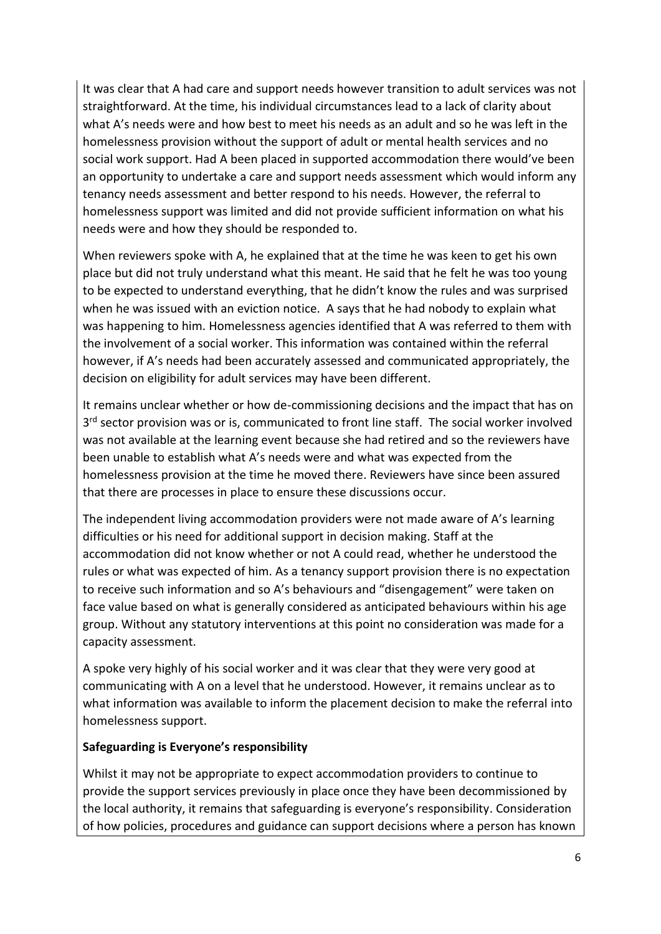It was clear that A had care and support needs however transition to adult services was not straightforward. At the time, his individual circumstances lead to a lack of clarity about what A's needs were and how best to meet his needs as an adult and so he was left in the homelessness provision without the support of adult or mental health services and no social work support. Had A been placed in supported accommodation there would've been an opportunity to undertake a care and support needs assessment which would inform any tenancy needs assessment and better respond to his needs. However, the referral to homelessness support was limited and did not provide sufficient information on what his needs were and how they should be responded to.

When reviewers spoke with A, he explained that at the time he was keen to get his own place but did not truly understand what this meant. He said that he felt he was too young to be expected to understand everything, that he didn't know the rules and was surprised when he was issued with an eviction notice. A says that he had nobody to explain what was happening to him. Homelessness agencies identified that A was referred to them with the involvement of a social worker. This information was contained within the referral however, if A's needs had been accurately assessed and communicated appropriately, the decision on eligibility for adult services may have been different.

It remains unclear whether or how de-commissioning decisions and the impact that has on 3<sup>rd</sup> sector provision was or is, communicated to front line staff. The social worker involved was not available at the learning event because she had retired and so the reviewers have been unable to establish what A's needs were and what was expected from the homelessness provision at the time he moved there. Reviewers have since been assured that there are processes in place to ensure these discussions occur.

The independent living accommodation providers were not made aware of A's learning difficulties or his need for additional support in decision making. Staff at the accommodation did not know whether or not A could read, whether he understood the rules or what was expected of him. As a tenancy support provision there is no expectation to receive such information and so A's behaviours and "disengagement" were taken on face value based on what is generally considered as anticipated behaviours within his age group. Without any statutory interventions at this point no consideration was made for a capacity assessment.

A spoke very highly of his social worker and it was clear that they were very good at communicating with A on a level that he understood. However, it remains unclear as to what information was available to inform the placement decision to make the referral into homelessness support.

#### **Safeguarding is Everyone's responsibility**

Whilst it may not be appropriate to expect accommodation providers to continue to provide the support services previously in place once they have been decommissioned by the local authority, it remains that safeguarding is everyone's responsibility. Consideration of how policies, procedures and guidance can support decisions where a person has known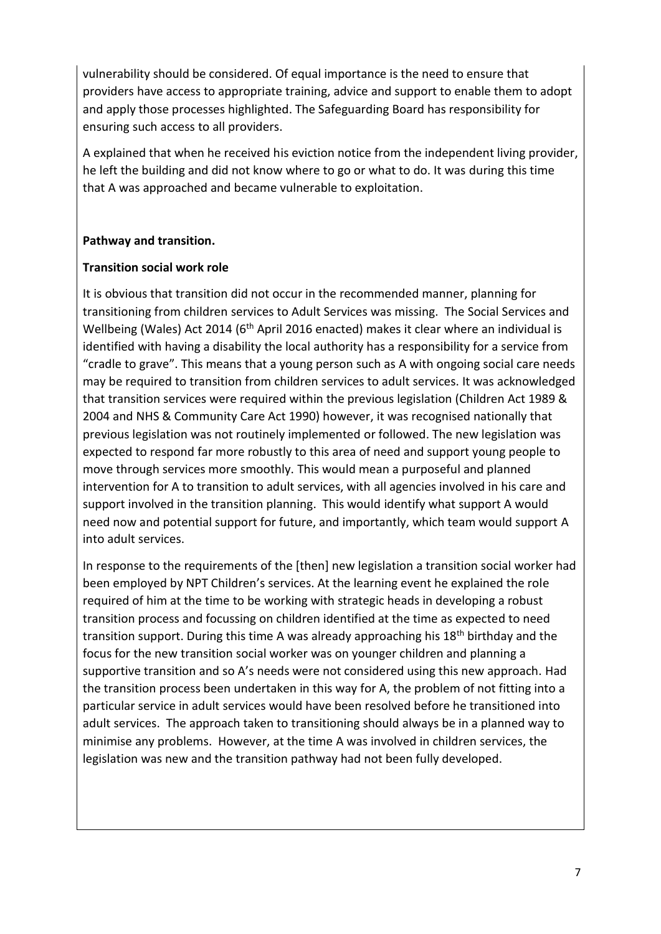vulnerability should be considered. Of equal importance is the need to ensure that providers have access to appropriate training, advice and support to enable them to adopt and apply those processes highlighted. The Safeguarding Board has responsibility for ensuring such access to all providers.

A explained that when he received his eviction notice from the independent living provider, he left the building and did not know where to go or what to do. It was during this time that A was approached and became vulnerable to exploitation.

#### **Pathway and transition.**

#### **Transition social work role**

It is obvious that transition did not occur in the recommended manner, planning for transitioning from children services to Adult Services was missing. The Social Services and Wellbeing (Wales) Act 2014 (6<sup>th</sup> April 2016 enacted) makes it clear where an individual is identified with having a disability the local authority has a responsibility for a service from "cradle to grave". This means that a young person such as A with ongoing social care needs may be required to transition from children services to adult services. It was acknowledged that transition services were required within the previous legislation (Children Act 1989 & 2004 and NHS & Community Care Act 1990) however, it was recognised nationally that previous legislation was not routinely implemented or followed. The new legislation was expected to respond far more robustly to this area of need and support young people to move through services more smoothly. This would mean a purposeful and planned intervention for A to transition to adult services, with all agencies involved in his care and support involved in the transition planning. This would identify what support A would need now and potential support for future, and importantly, which team would support A into adult services.

In response to the requirements of the [then] new legislation a transition social worker had been employed by NPT Children's services. At the learning event he explained the role required of him at the time to be working with strategic heads in developing a robust transition process and focussing on children identified at the time as expected to need transition support. During this time A was already approaching his 18<sup>th</sup> birthday and the focus for the new transition social worker was on younger children and planning a supportive transition and so A's needs were not considered using this new approach. Had the transition process been undertaken in this way for A, the problem of not fitting into a particular service in adult services would have been resolved before he transitioned into adult services. The approach taken to transitioning should always be in a planned way to minimise any problems. However, at the time A was involved in children services, the legislation was new and the transition pathway had not been fully developed.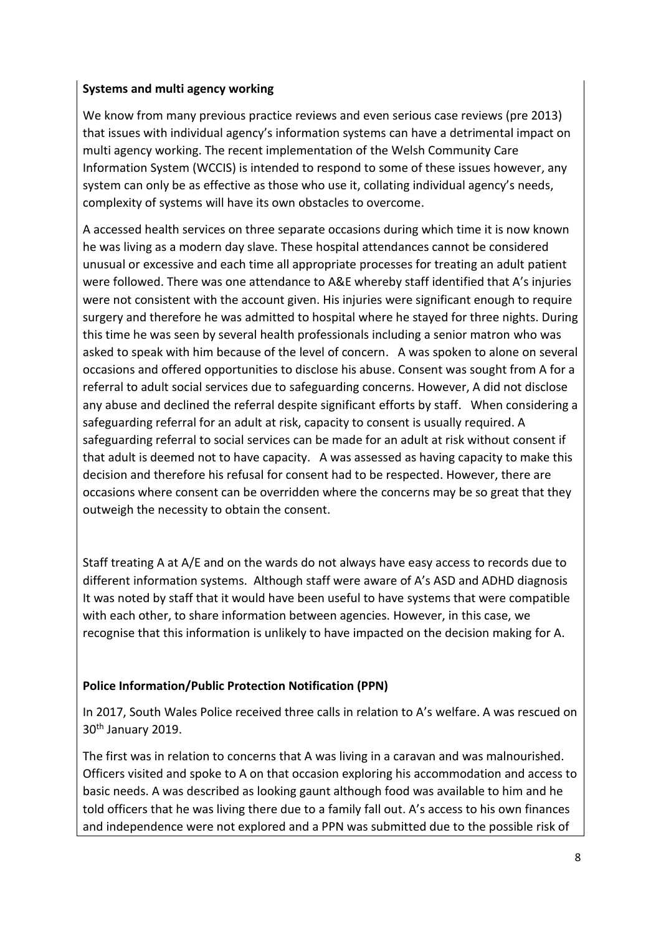#### **Systems and multi agency working**

We know from many previous practice reviews and even serious case reviews (pre 2013) that issues with individual agency's information systems can have a detrimental impact on multi agency working. The recent implementation of the Welsh Community Care Information System (WCCIS) is intended to respond to some of these issues however, any system can only be as effective as those who use it, collating individual agency's needs, complexity of systems will have its own obstacles to overcome.

A accessed health services on three separate occasions during which time it is now known he was living as a modern day slave. These hospital attendances cannot be considered unusual or excessive and each time all appropriate processes for treating an adult patient were followed. There was one attendance to A&E whereby staff identified that A's injuries were not consistent with the account given. His injuries were significant enough to require surgery and therefore he was admitted to hospital where he stayed for three nights. During this time he was seen by several health professionals including a senior matron who was asked to speak with him because of the level of concern. A was spoken to alone on several occasions and offered opportunities to disclose his abuse. Consent was sought from A for a referral to adult social services due to safeguarding concerns. However, A did not disclose any abuse and declined the referral despite significant efforts by staff. When considering a safeguarding referral for an adult at risk, capacity to consent is usually required. A safeguarding referral to social services can be made for an adult at risk without consent if that adult is deemed not to have capacity. A was assessed as having capacity to make this decision and therefore his refusal for consent had to be respected. However, there are occasions where consent can be overridden where the concerns may be so great that they outweigh the necessity to obtain the consent.

Staff treating A at A/E and on the wards do not always have easy access to records due to different information systems. Although staff were aware of A's ASD and ADHD diagnosis It was noted by staff that it would have been useful to have systems that were compatible with each other, to share information between agencies. However, in this case, we recognise that this information is unlikely to have impacted on the decision making for A.

## **Police Information/Public Protection Notification (PPN)**

In 2017, South Wales Police received three calls in relation to A's welfare. A was rescued on 30<sup>th</sup> January 2019.

The first was in relation to concerns that A was living in a caravan and was malnourished. Officers visited and spoke to A on that occasion exploring his accommodation and access to basic needs. A was described as looking gaunt although food was available to him and he told officers that he was living there due to a family fall out. A's access to his own finances and independence were not explored and a PPN was submitted due to the possible risk of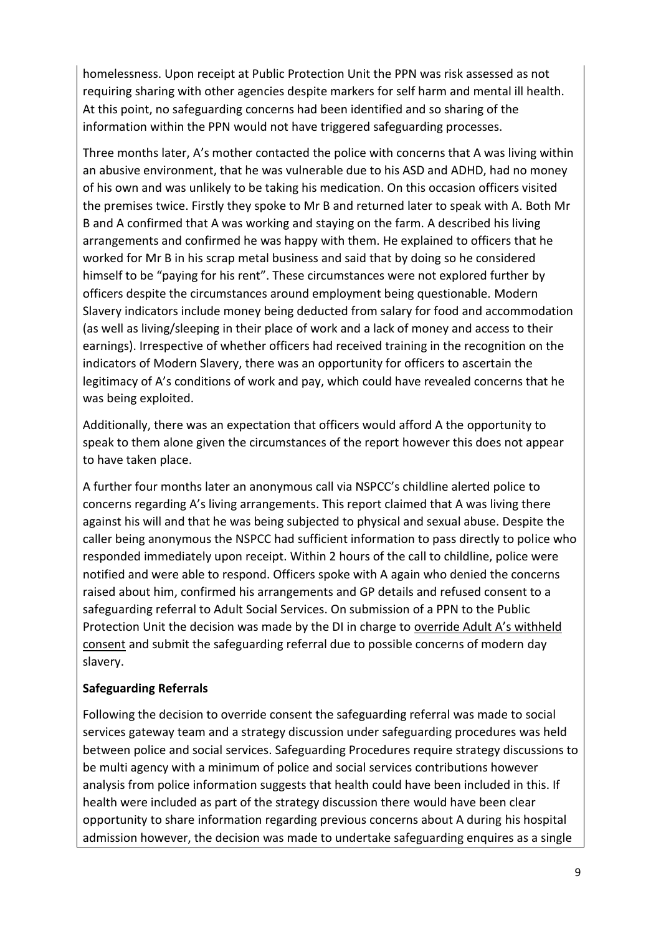homelessness. Upon receipt at Public Protection Unit the PPN was risk assessed as not requiring sharing with other agencies despite markers for self harm and mental ill health. At this point, no safeguarding concerns had been identified and so sharing of the information within the PPN would not have triggered safeguarding processes.

Three months later, A's mother contacted the police with concerns that A was living within an abusive environment, that he was vulnerable due to his ASD and ADHD, had no money of his own and was unlikely to be taking his medication. On this occasion officers visited the premises twice. Firstly they spoke to Mr B and returned later to speak with A. Both Mr B and A confirmed that A was working and staying on the farm. A described his living arrangements and confirmed he was happy with them. He explained to officers that he worked for Mr B in his scrap metal business and said that by doing so he considered himself to be "paying for his rent". These circumstances were not explored further by officers despite the circumstances around employment being questionable. Modern Slavery indicators include money being deducted from salary for food and accommodation (as well as living/sleeping in their place of work and a lack of money and access to their earnings). Irrespective of whether officers had received training in the recognition on the indicators of Modern Slavery, there was an opportunity for officers to ascertain the legitimacy of A's conditions of work and pay, which could have revealed concerns that he was being exploited.

Additionally, there was an expectation that officers would afford A the opportunity to speak to them alone given the circumstances of the report however this does not appear to have taken place.

A further four months later an anonymous call via NSPCC's childline alerted police to concerns regarding A's living arrangements. This report claimed that A was living there against his will and that he was being subjected to physical and sexual abuse. Despite the caller being anonymous the NSPCC had sufficient information to pass directly to police who responded immediately upon receipt. Within 2 hours of the call to childline, police were notified and were able to respond. Officers spoke with A again who denied the concerns raised about him, confirmed his arrangements and GP details and refused consent to a safeguarding referral to Adult Social Services. On submission of a PPN to the Public Protection Unit the decision was made by the DI in charge to override Adult A's withheld consent and submit the safeguarding referral due to possible concerns of modern day slavery.

#### **Safeguarding Referrals**

Following the decision to override consent the safeguarding referral was made to social services gateway team and a strategy discussion under safeguarding procedures was held between police and social services. Safeguarding Procedures require strategy discussions to be multi agency with a minimum of police and social services contributions however analysis from police information suggests that health could have been included in this. If health were included as part of the strategy discussion there would have been clear opportunity to share information regarding previous concerns about A during his hospital admission however, the decision was made to undertake safeguarding enquires as a single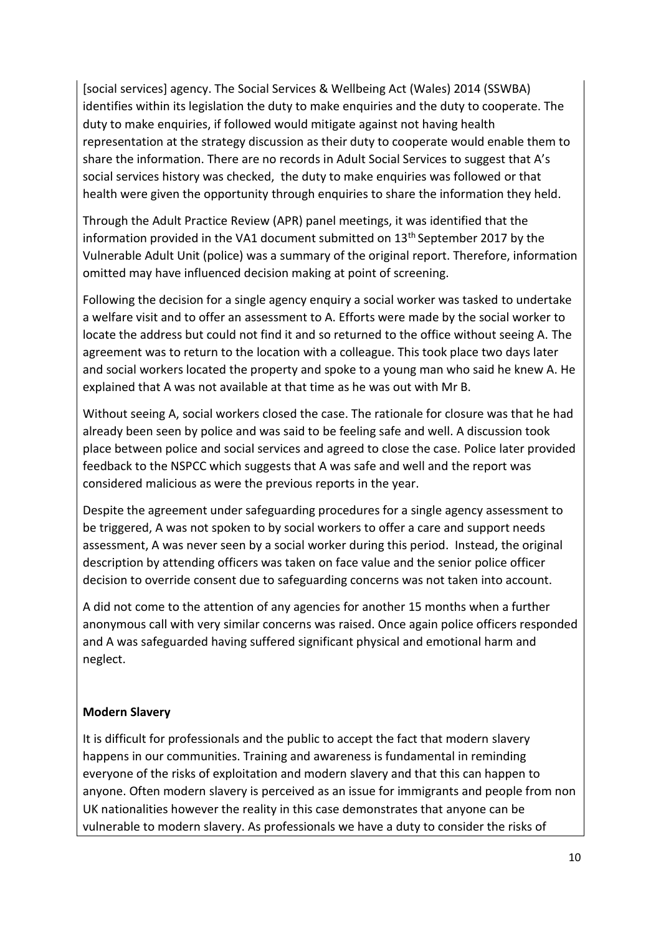[social services] agency. The Social Services & Wellbeing Act (Wales) 2014 (SSWBA) identifies within its legislation the duty to make enquiries and the duty to cooperate. The duty to make enquiries, if followed would mitigate against not having health representation at the strategy discussion as their duty to cooperate would enable them to share the information. There are no records in Adult Social Services to suggest that A's social services history was checked, the duty to make enquiries was followed or that health were given the opportunity through enquiries to share the information they held.

Through the Adult Practice Review (APR) panel meetings, it was identified that the information provided in the VA1 document submitted on  $13<sup>th</sup>$  September 2017 by the Vulnerable Adult Unit (police) was a summary of the original report. Therefore, information omitted may have influenced decision making at point of screening.

Following the decision for a single agency enquiry a social worker was tasked to undertake a welfare visit and to offer an assessment to A. Efforts were made by the social worker to locate the address but could not find it and so returned to the office without seeing A. The agreement was to return to the location with a colleague. This took place two days later and social workers located the property and spoke to a young man who said he knew A. He explained that A was not available at that time as he was out with Mr B.

Without seeing A, social workers closed the case. The rationale for closure was that he had already been seen by police and was said to be feeling safe and well. A discussion took place between police and social services and agreed to close the case. Police later provided feedback to the NSPCC which suggests that A was safe and well and the report was considered malicious as were the previous reports in the year.

Despite the agreement under safeguarding procedures for a single agency assessment to be triggered, A was not spoken to by social workers to offer a care and support needs assessment, A was never seen by a social worker during this period. Instead, the original description by attending officers was taken on face value and the senior police officer decision to override consent due to safeguarding concerns was not taken into account.

A did not come to the attention of any agencies for another 15 months when a further anonymous call with very similar concerns was raised. Once again police officers responded and A was safeguarded having suffered significant physical and emotional harm and neglect.

#### **Modern Slavery**

It is difficult for professionals and the public to accept the fact that modern slavery happens in our communities. Training and awareness is fundamental in reminding everyone of the risks of exploitation and modern slavery and that this can happen to anyone. Often modern slavery is perceived as an issue for immigrants and people from non UK nationalities however the reality in this case demonstrates that anyone can be vulnerable to modern slavery. As professionals we have a duty to consider the risks of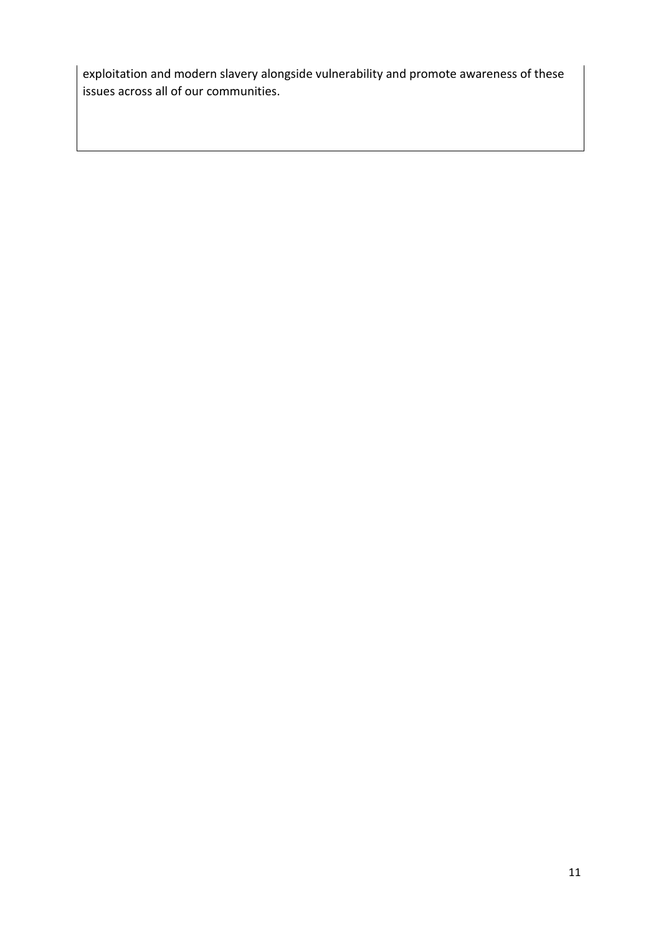exploitation and modern slavery alongside vulnerability and promote awareness of these issues across all of our communities.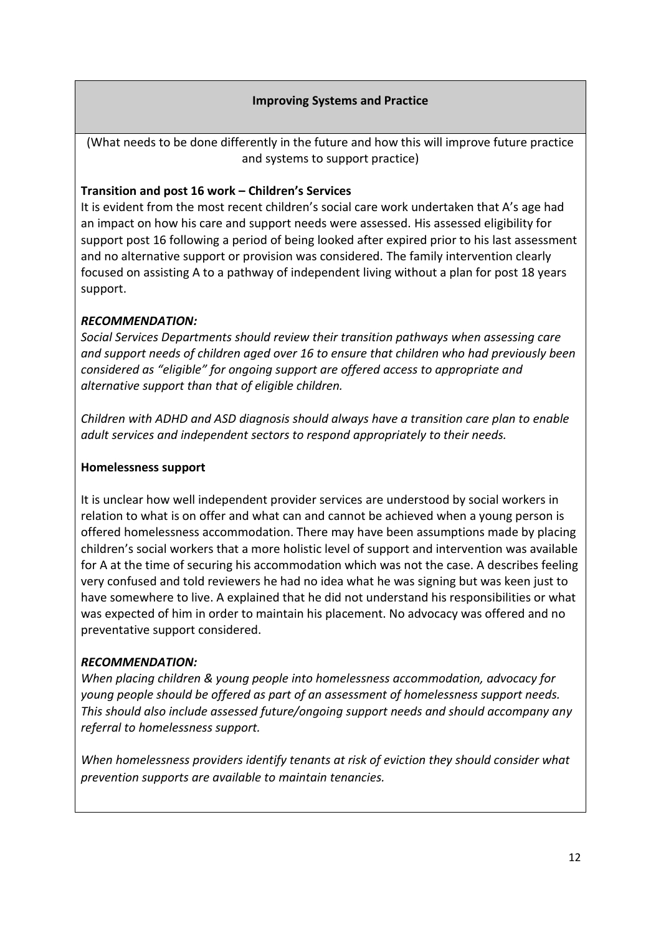#### **Improving Systems and Practice**

(What needs to be done differently in the future and how this will improve future practice and systems to support practice)

#### **Transition and post 16 work – Children's Services**

It is evident from the most recent children's social care work undertaken that A's age had an impact on how his care and support needs were assessed. His assessed eligibility for support post 16 following a period of being looked after expired prior to his last assessment and no alternative support or provision was considered. The family intervention clearly focused on assisting A to a pathway of independent living without a plan for post 18 years support.

#### *RECOMMENDATION:*

*Social Services Departments should review their transition pathways when assessing care and support needs of children aged over 16 to ensure that children who had previously been considered as "eligible" for ongoing support are offered access to appropriate and alternative support than that of eligible children.* 

*Children with ADHD and ASD diagnosis should always have a transition care plan to enable adult services and independent sectors to respond appropriately to their needs.*

#### **Homelessness support**

It is unclear how well independent provider services are understood by social workers in relation to what is on offer and what can and cannot be achieved when a young person is offered homelessness accommodation. There may have been assumptions made by placing children's social workers that a more holistic level of support and intervention was available for A at the time of securing his accommodation which was not the case. A describes feeling very confused and told reviewers he had no idea what he was signing but was keen just to have somewhere to live. A explained that he did not understand his responsibilities or what was expected of him in order to maintain his placement. No advocacy was offered and no preventative support considered.

#### *RECOMMENDATION:*

*When placing children & young people into homelessness accommodation, advocacy for young people should be offered as part of an assessment of homelessness support needs. This should also include assessed future/ongoing support needs and should accompany any referral to homelessness support.*

*When homelessness providers identify tenants at risk of eviction they should consider what prevention supports are available to maintain tenancies.*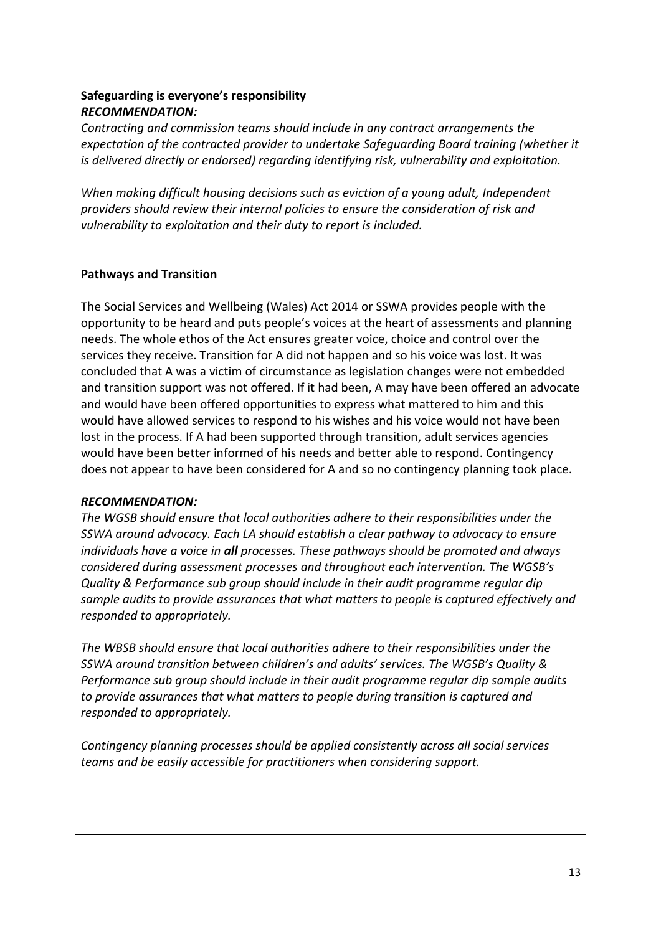## **Safeguarding is everyone's responsibility** *RECOMMENDATION:*

*Contracting and commission teams should include in any contract arrangements the expectation of the contracted provider to undertake Safeguarding Board training (whether it is delivered directly or endorsed) regarding identifying risk, vulnerability and exploitation.*

*When making difficult housing decisions such as eviction of a young adult, Independent providers should review their internal policies to ensure the consideration of risk and vulnerability to exploitation and their duty to report is included.*

#### **Pathways and Transition**

The Social Services and Wellbeing (Wales) Act 2014 or SSWA provides people with the opportunity to be heard and puts people's voices at the heart of assessments and planning needs. The whole ethos of the Act ensures greater voice, choice and control over the services they receive. Transition for A did not happen and so his voice was lost. It was concluded that A was a victim of circumstance as legislation changes were not embedded and transition support was not offered. If it had been, A may have been offered an advocate and would have been offered opportunities to express what mattered to him and this would have allowed services to respond to his wishes and his voice would not have been lost in the process. If A had been supported through transition, adult services agencies would have been better informed of his needs and better able to respond. Contingency does not appear to have been considered for A and so no contingency planning took place.

#### *RECOMMENDATION:*

*The WGSB should ensure that local authorities adhere to their responsibilities under the SSWA around advocacy. Each LA should establish a clear pathway to advocacy to ensure individuals have a voice in all processes. These pathways should be promoted and always considered during assessment processes and throughout each intervention. The WGSB's Quality & Performance sub group should include in their audit programme regular dip sample audits to provide assurances that what matters to people is captured effectively and responded to appropriately.* 

*The WBSB should ensure that local authorities adhere to their responsibilities under the SSWA around transition between children's and adults' services. The WGSB's Quality & Performance sub group should include in their audit programme regular dip sample audits to provide assurances that what matters to people during transition is captured and responded to appropriately.* 

*Contingency planning processes should be applied consistently across all social services teams and be easily accessible for practitioners when considering support.*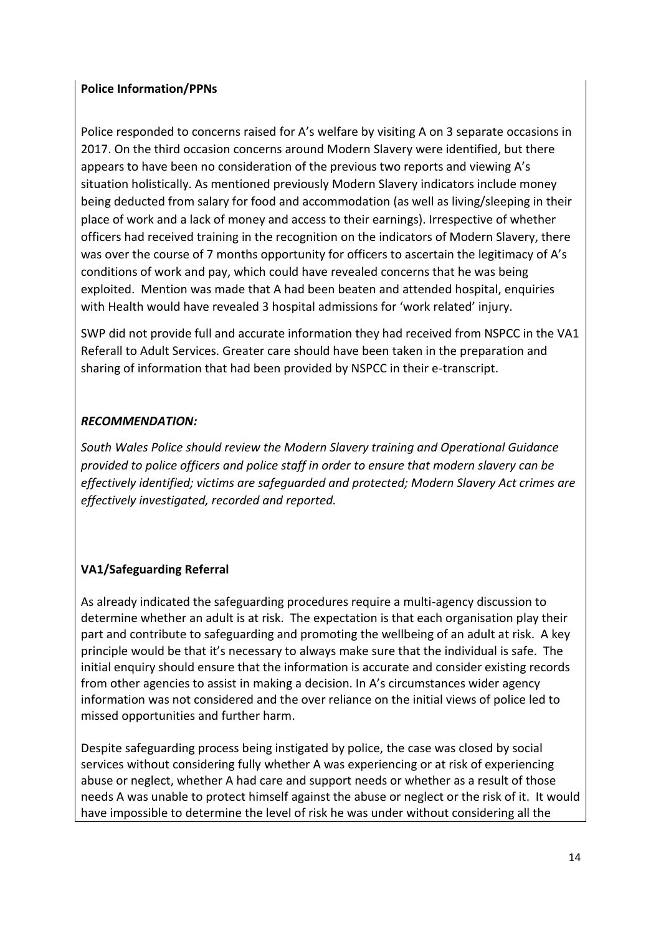#### **Police Information/PPNs**

Police responded to concerns raised for A's welfare by visiting A on 3 separate occasions in 2017. On the third occasion concerns around Modern Slavery were identified, but there appears to have been no consideration of the previous two reports and viewing A's situation holistically. As mentioned previously Modern Slavery indicators include money being deducted from salary for food and accommodation (as well as living/sleeping in their place of work and a lack of money and access to their earnings). Irrespective of whether officers had received training in the recognition on the indicators of Modern Slavery, there was over the course of 7 months opportunity for officers to ascertain the legitimacy of A's conditions of work and pay, which could have revealed concerns that he was being exploited. Mention was made that A had been beaten and attended hospital, enquiries with Health would have revealed 3 hospital admissions for 'work related' injury.

SWP did not provide full and accurate information they had received from NSPCC in the VA1 Referall to Adult Services. Greater care should have been taken in the preparation and sharing of information that had been provided by NSPCC in their e-transcript.

## *RECOMMENDATION:*

*South Wales Police should review the Modern Slavery training and Operational Guidance provided to police officers and police staff in order to ensure that modern slavery can be effectively identified; victims are safeguarded and protected; Modern Slavery Act crimes are effectively investigated, recorded and reported.* 

## **VA1/Safeguarding Referral**

As already indicated the safeguarding procedures require a multi-agency discussion to determine whether an adult is at risk. The expectation is that each organisation play their part and contribute to safeguarding and promoting the wellbeing of an adult at risk. A key principle would be that it's necessary to always make sure that the individual is safe. The initial enquiry should ensure that the information is accurate and consider existing records from other agencies to assist in making a decision. In A's circumstances wider agency information was not considered and the over reliance on the initial views of police led to missed opportunities and further harm.

Despite safeguarding process being instigated by police, the case was closed by social services without considering fully whether A was experiencing or at risk of experiencing abuse or neglect, whether A had care and support needs or whether as a result of those needs A was unable to protect himself against the abuse or neglect or the risk of it. It would have impossible to determine the level of risk he was under without considering all the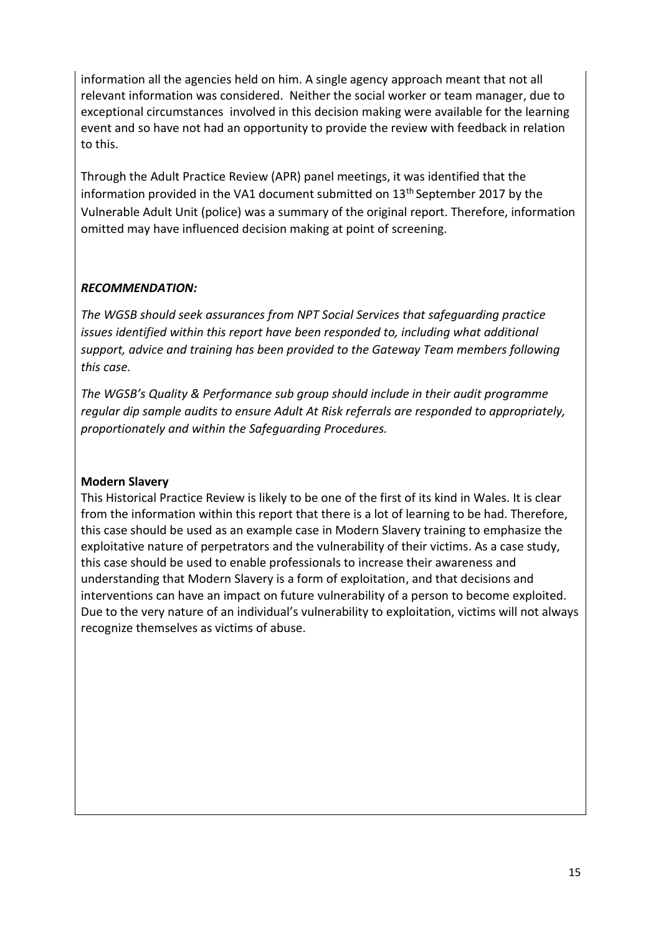information all the agencies held on him. A single agency approach meant that not all relevant information was considered. Neither the social worker or team manager, due to exceptional circumstances involved in this decision making were available for the learning event and so have not had an opportunity to provide the review with feedback in relation to this.

Through the Adult Practice Review (APR) panel meetings, it was identified that the information provided in the VA1 document submitted on 13<sup>th</sup> September 2017 by the Vulnerable Adult Unit (police) was a summary of the original report. Therefore, information omitted may have influenced decision making at point of screening.

#### *RECOMMENDATION:*

*The WGSB should seek assurances from NPT Social Services that safeguarding practice issues identified within this report have been responded to, including what additional support, advice and training has been provided to the Gateway Team members following this case.*

*The WGSB's Quality & Performance sub group should include in their audit programme regular dip sample audits to ensure Adult At Risk referrals are responded to appropriately, proportionately and within the Safeguarding Procedures.*

#### **Modern Slavery**

This Historical Practice Review is likely to be one of the first of its kind in Wales. It is clear from the information within this report that there is a lot of learning to be had. Therefore, this case should be used as an example case in Modern Slavery training to emphasize the exploitative nature of perpetrators and the vulnerability of their victims. As a case study, this case should be used to enable professionals to increase their awareness and understanding that Modern Slavery is a form of exploitation, and that decisions and interventions can have an impact on future vulnerability of a person to become exploited. Due to the very nature of an individual's vulnerability to exploitation, victims will not always recognize themselves as victims of abuse.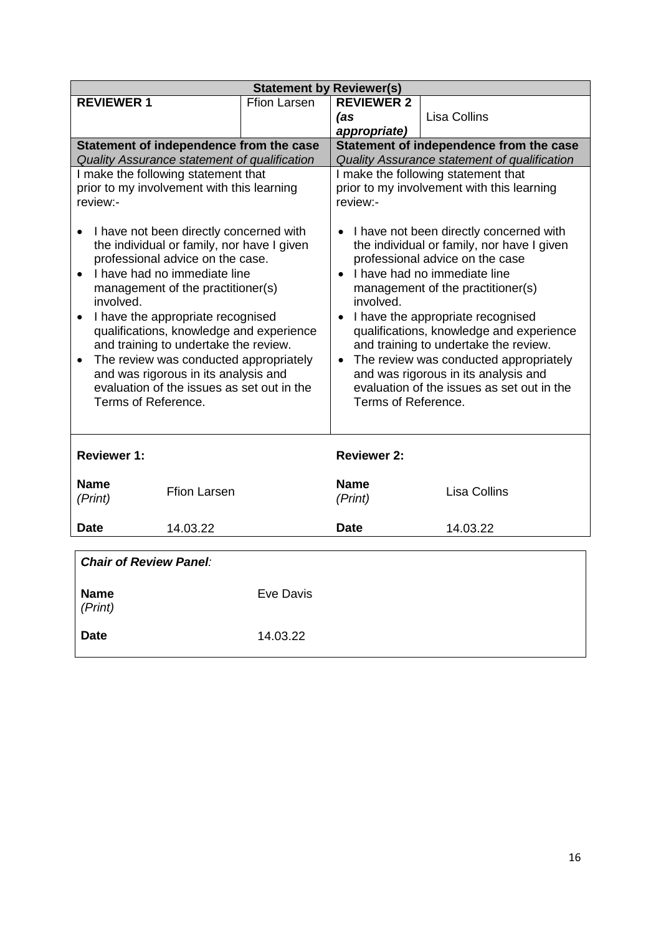| <b>Statement by Reviewer(s)</b>                                                                                                                                                                                                                                                                                                                                                                                                                                                                                        |                     |                                                                                                                                                                                                                                                                                                                                                                                                                                                                                                                                      |                                     |  |  |  |
|------------------------------------------------------------------------------------------------------------------------------------------------------------------------------------------------------------------------------------------------------------------------------------------------------------------------------------------------------------------------------------------------------------------------------------------------------------------------------------------------------------------------|---------------------|--------------------------------------------------------------------------------------------------------------------------------------------------------------------------------------------------------------------------------------------------------------------------------------------------------------------------------------------------------------------------------------------------------------------------------------------------------------------------------------------------------------------------------------|-------------------------------------|--|--|--|
| <b>REVIEWER 1</b>                                                                                                                                                                                                                                                                                                                                                                                                                                                                                                      | <b>Ffion Larsen</b> | <b>REVIEWER 2</b>                                                                                                                                                                                                                                                                                                                                                                                                                                                                                                                    |                                     |  |  |  |
|                                                                                                                                                                                                                                                                                                                                                                                                                                                                                                                        |                     | (as                                                                                                                                                                                                                                                                                                                                                                                                                                                                                                                                  | Lisa Collins                        |  |  |  |
|                                                                                                                                                                                                                                                                                                                                                                                                                                                                                                                        |                     | appropriate)                                                                                                                                                                                                                                                                                                                                                                                                                                                                                                                         |                                     |  |  |  |
| Statement of independence from the case                                                                                                                                                                                                                                                                                                                                                                                                                                                                                |                     | Statement of independence from the case                                                                                                                                                                                                                                                                                                                                                                                                                                                                                              |                                     |  |  |  |
| Quality Assurance statement of qualification                                                                                                                                                                                                                                                                                                                                                                                                                                                                           |                     | Quality Assurance statement of qualification                                                                                                                                                                                                                                                                                                                                                                                                                                                                                         |                                     |  |  |  |
| I make the following statement that                                                                                                                                                                                                                                                                                                                                                                                                                                                                                    |                     |                                                                                                                                                                                                                                                                                                                                                                                                                                                                                                                                      | I make the following statement that |  |  |  |
| prior to my involvement with this learning<br>review:-                                                                                                                                                                                                                                                                                                                                                                                                                                                                 |                     | prior to my involvement with this learning<br>review:-                                                                                                                                                                                                                                                                                                                                                                                                                                                                               |                                     |  |  |  |
|                                                                                                                                                                                                                                                                                                                                                                                                                                                                                                                        |                     |                                                                                                                                                                                                                                                                                                                                                                                                                                                                                                                                      |                                     |  |  |  |
| I have not been directly concerned with<br>the individual or family, nor have I given<br>professional advice on the case.<br>I have had no immediate line<br>management of the practitioner(s)<br>involved.<br>I have the appropriate recognised<br>$\bullet$<br>qualifications, knowledge and experience<br>and training to undertake the review.<br>The review was conducted appropriately<br>$\bullet$<br>and was rigorous in its analysis and<br>evaluation of the issues as set out in the<br>Terms of Reference. |                     | I have not been directly concerned with<br>$\bullet$<br>the individual or family, nor have I given<br>professional advice on the case<br>I have had no immediate line<br>$\bullet$<br>management of the practitioner(s)<br>involved.<br>• I have the appropriate recognised<br>qualifications, knowledge and experience<br>and training to undertake the review.<br>The review was conducted appropriately<br>$\bullet$<br>and was rigorous in its analysis and<br>evaluation of the issues as set out in the<br>Terms of Reference. |                                     |  |  |  |
| <b>Reviewer 1:</b>                                                                                                                                                                                                                                                                                                                                                                                                                                                                                                     |                     | <b>Reviewer 2:</b>                                                                                                                                                                                                                                                                                                                                                                                                                                                                                                                   |                                     |  |  |  |
| <b>Name</b>                                                                                                                                                                                                                                                                                                                                                                                                                                                                                                            |                     | <b>Name</b>                                                                                                                                                                                                                                                                                                                                                                                                                                                                                                                          |                                     |  |  |  |
| <b>Ffion Larsen</b><br>(Print)                                                                                                                                                                                                                                                                                                                                                                                                                                                                                         |                     | (Print)                                                                                                                                                                                                                                                                                                                                                                                                                                                                                                                              | <b>Lisa Collins</b>                 |  |  |  |
|                                                                                                                                                                                                                                                                                                                                                                                                                                                                                                                        |                     |                                                                                                                                                                                                                                                                                                                                                                                                                                                                                                                                      |                                     |  |  |  |
| 14.03.22<br><b>Date</b>                                                                                                                                                                                                                                                                                                                                                                                                                                                                                                |                     | <b>Date</b>                                                                                                                                                                                                                                                                                                                                                                                                                                                                                                                          | 14.03.22                            |  |  |  |
|                                                                                                                                                                                                                                                                                                                                                                                                                                                                                                                        |                     |                                                                                                                                                                                                                                                                                                                                                                                                                                                                                                                                      |                                     |  |  |  |
| <b>Chair of Review Panel:</b>                                                                                                                                                                                                                                                                                                                                                                                                                                                                                          |                     |                                                                                                                                                                                                                                                                                                                                                                                                                                                                                                                                      |                                     |  |  |  |
| <b>Name</b>                                                                                                                                                                                                                                                                                                                                                                                                                                                                                                            | <b>Eve Davis</b>    |                                                                                                                                                                                                                                                                                                                                                                                                                                                                                                                                      |                                     |  |  |  |
| (Print)                                                                                                                                                                                                                                                                                                                                                                                                                                                                                                                |                     |                                                                                                                                                                                                                                                                                                                                                                                                                                                                                                                                      |                                     |  |  |  |
| <b>Date</b>                                                                                                                                                                                                                                                                                                                                                                                                                                                                                                            | 14.03.22            |                                                                                                                                                                                                                                                                                                                                                                                                                                                                                                                                      |                                     |  |  |  |